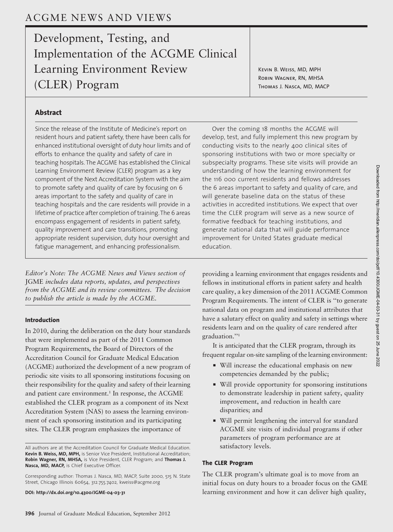# Development, Testing, and Implementation of the ACGME Clinical Learning Environment Review (CLER) Program

Kevin B. Weiss, MD, MPH Robin Wagner, RN, MHSA Thomas J. Nasca, MD, MACP

# Abstract

Since the release of the Institute of Medicine's report on resident hours and patient safety, there have been calls for enhanced institutional oversight of duty hour limits and of efforts to enhance the quality and safety of care in teaching hospitals. The ACGME has established the Clinical Learning Environment Review (CLER) program as a key component of the Next Accreditation System with the aim to promote safety and quality of care by focusing on 6 areas important to the safety and quality of care in teaching hospitals and the care residents will provide in a lifetime of practice after completion of training. The 6 areas encompass engagement of residents in patient safety, quality improvement and care transitions, promoting appropriate resident supervision, duty hour oversight and fatigue management, and enhancing professionalism.

Editor's Note: The ACGME News and Views section of JGME includes data reports, updates, and perspectives from the ACGME and its review committees. The decision to publish the article is made by the ACGME.

# Introduction

In 2010, during the deliberation on the duty hour standards that were implemented as part of the 2011 Common Program Requirements, the Board of Directors of the Accreditation Council for Graduate Medical Education (ACGME) authorized the development of a new program of periodic site visits to all sponsoring institutions focusing on their responsibility for the quality and safety of their learning and patient care environment.<sup>1</sup> In response, the ACGME established the CLER program as a component of its Next Accreditation System (NAS) to assess the learning environment of each sponsoring institution and its participating sites. The CLER program emphasizes the importance of

Corresponding author: Thomas J. Nasca, MD, MACP, Suite 2000, 515 N. State Street, Chicago Illinois 60654, 312.755.7402, kweiss@acgme.org

DOI: http://dx.doi.org/10.4300/JGME-04-03-31

Over the coming 18 months the ACGME will develop, test, and fully implement this new program by conducting visits to the nearly 400 clinical sites of sponsoring institutions with two or more specialty or subspecialty programs. These site visits will provide an understanding of how the learning environment for the 116 000 current residents and fellows addresses the 6 areas important to safety and quality of care, and will generate baseline data on the status of these activities in accredited institutions. We expect that over time the CLER program will serve as a new source of formative feedback for teaching institutions, and generate national data that will guide performance improvement for United States graduate medical education.

providing a learning environment that engages residents and fellows in institutional efforts in patient safety and health care quality, a key dimension of the 2011 ACGME Common Program Requirements. The intent of CLER is ''to generate national data on program and institutional attributes that have a salutary effect on quality and safety in settings where residents learn and on the quality of care rendered after graduation.''1

It is anticipated that the CLER program, through its frequent regular on-site sampling of the learning environment:

- & Will increase the educational emphasis on new competencies demanded by the public;
- & Will provide opportunity for sponsoring institutions to demonstrate leadership in patient safety, quality improvement, and reduction in health care disparities; and
- & Will permit lengthening the interval for standard ACGME site visits of individual programs if other parameters of program performance are at satisfactory levels.

# The CLER Program

The CLER program's ultimate goal is to move from an initial focus on duty hours to a broader focus on the GME learning environment and how it can deliver high quality,

All authors are at the Accreditation Council for Graduate Medical Education. Kevin B. Weiss, MD, MPH, is Senior Vice President, Institutional Accreditation; Robin Wagner, RN, MHSA, is Vice President, CLER Program; and Thomas J. Nasca, MD, MACP, is Chief Executive Officer.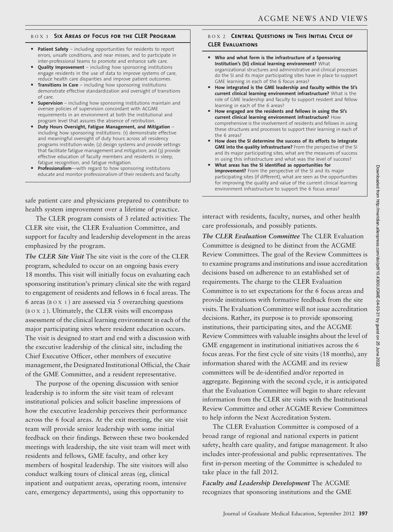#### BOX 1 SIX AREAS OF FOCUS FOR THE CLER PROGRAM

- Patient Safety including opportunities for residents to report errors, unsafe conditions, and near misses, and to participate in inter-professional teams to promote and enhance safe care.
- Quality Improvement including how sponsoring institutions engage residents in the use of data to improve systems of care, reduce health care disparities and improve patient outcomes.
- Transitions in Care including how sponsoring institutions demonstrate effective standardization and oversight of transitions of care.
- **Supervision** including how sponsoring institutions maintain and oversee policies of supervision concordant with ACGME requirements in an environment at both the institutional and program level that assures the absence of retribution.
- **E** Duty Hours Oversight, Fatigue Management, and Mitigation including how sponsoring institutions: (1) demonstrate effective and meaningful oversight of duty hours across all residency programs institution-wide; (2) design systems and provide settings that facilitate fatigue management and mitigation; and (3) provide effective education of faculty members and residents in sleep, fatigue recognition, and fatigue mitigation.
- Professionalism-with regard to how sponsoring institutions educate and monitor professionalism of their residents and faculty.

safe patient care and physicians prepared to contribute to health system improvement over a lifetime of practice.

The CLER program consists of 3 related activities: The CLER site visit, the CLER Evaluation Committee, and support for faculty and leadership development in the areas emphasized by the program.

The CLER Site Visit The site visit is the core of the CLER program, scheduled to occur on an ongoing basis every 18 months. This visit will initially focus on evaluating each sponsoring institution's primary clinical site the with regard to engagement of residents and fellows in 6 focal areas. The 6 areas ( $B\text{o}X$  1) are assessed via 5 overarching questions (BOX 2 ). Ultimately, the CLER visits will encompass assessment of the clinical learning environment in each of the major participating sites where resident education occurs. The visit is designed to start and end with a discussion with the executive leadership of the clinical site, including the Chief Executive Officer, other members of executive management, the Designated Institutional Official, the Chair of the GME Committee, and a resident representative.

The purpose of the opening discussion with senior leadership is to inform the site visit team of relevant institutional policies and solicit baseline impressions of how the executive leadership perceives their performance across the 6 focal areas. At the exit meeting, the site visit team will provide senior leadership with some initial feedback on their findings. Between these two bookended meetings with leadership, the site visit team will meet with residents and fellows, GME faculty, and other key members of hospital leadership. The site visitors will also conduct walking tours of clinical areas (eg, clinical inpatient and outpatient areas, operating room, intensive care, emergency departments), using this opportunity to

### BOX 2 CENTRAL QUESTIONS IN THIS INITIAL CYCLE OF CLER Evaluations

- & Who and what form is the infrastructure of a Sponsoring Institution's (SI) clinical learning environment? What organizational structures and administrative and clinical processes do the SI and its major participating sites have in place to support GME learning in each of the 6 focus areas?
- & How integrated is the GME leadership and faculty within the SI's current clinical learning environment infrastructure? What is the role of GME leadership and faculty to support resident and fellow learning in each of the 6 areas?
- & How engaged are the residents and fellows in using the SI's current clinical learning environment infrastructure? How comprehensive is the involvement of residents and fellows in using these structures and processes to support their learning in each of the 6 areas?
- **E** How does the SI determine the success of its efforts to integrate GME into the quality infrastructure? From the perspective of the SI and its major participating sites, what are the measures of success in using this infrastructure and what was the level of success?
- What areas has the SI identified as opportunities for improvement? From the perspective of the SI and its major participating sites (if different), what are seen as the opportunities for improving the quality and value of the current clinical learning environment infrastructure to support the 6 focus areas?

interact with residents, faculty, nurses, and other health care professionals, and possibly patients.

The CLER Evaluation Committee The CLER Evaluation Committee is designed to be distinct from the ACGME Review Committees. The goal of the Review Committees is to examine programs and institutions and issue accreditation decisions based on adherence to an established set of requirements. The charge to the CLER Evaluation Committee is to set expectations for the 6 focus areas and provide institutions with formative feedback from the site visits. The Evaluation Committee will not issue accreditation decisions. Rather, its purpose is to provide sponsoring institutions, their participating sites, and the ACGME Review Committees with valuable insights about the level of GME engagement in institutional initiatives across the 6 focus areas. For the first cycle of site visits (18 months), any information shared with the ACGME and its review committees will be de-identified and/or reported in aggregate. Beginning with the second cycle, it is anticipated that the Evaluation Committee will begin to share relevant information from the CLER site visits with the Institutional Review Committee and other ACGME Review Committees to help inform the Next Accreditation System.

The CLER Evaluation Committee is composed of a broad range of regional and national experts in patient safety, health care quality, and fatigue management. It also includes inter-professional and public representatives. The first in-person meeting of the Committee is scheduled to take place in the fall 2012.

Faculty and Leadership Development The ACGME recognizes that sponsoring institutions and the GME